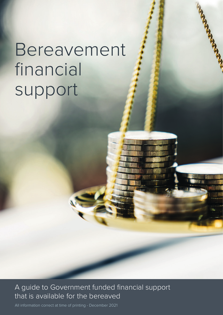## Bereavement financial support

A guide to Government funded financial support that is available for the bereaved

All information correct at time of printing - December 2021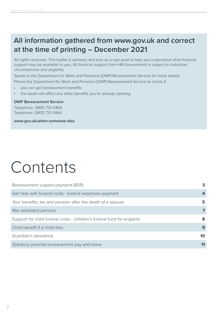### **All information gathered from www.gov.uk and correct at the time of printing – December 2021**

All rights reserved. This leaflet is advisory and acts as a sign-post to help you understand what financial support may be available to you. All financial support from HM Government is subject to individual circumstances and eligibility.

Speak to the Department for Work and Pensions (DWP) Bereavement Service for more details. Phone the Department for Work and Pensions (DWP) Bereavement Service to check if:

- you can get bereavement benefits
- the death will affect any other benefits you're already claiming

#### **DWP Bereavement Service**

Telephone: 0800 731 0469 Textphone: 0800 731 0464

**www.gov.uk/when-someone-dies**

## Contents

| Bereavement support payment (BSP)                                     | 3  |
|-----------------------------------------------------------------------|----|
| Get help with funeral costs - funeral expenses payment                |    |
| Your benefits, tax and pension after the death of a spouse            | 5. |
| War widow(er) pension                                                 |    |
| Support for child funeral costs - children's funeral fund for england | 8  |
| Child benefit if a child dies                                         | 9  |
| Guardian's allowance                                                  | 10 |
| Statutory parental bereavement pay and leave                          | 11 |
|                                                                       |    |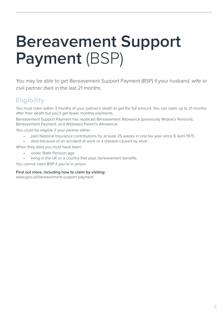## **Bereavement Support Payment** (BSP)

You may be able to get Bereavement Support Payment (BSP) if your husband, wife or civil partner died in the last 21 months.

### **Eligibility**

You must claim within 3 months of your partner's death to get the full amount. You can claim up to 21 months after their death but you'll get fewer monthly payments.

Bereavement Support Payment has replaced Bereavement Allowance (previously Widow's Pension), Bereavement Payment, and Widowed Parent's Allowance.

You could be eligible if your partner either:

- paid National Insurance contributions for at least 25 weeks in one tax year since 6 April 1975
- died because of an accident at work or a disease caused by work

When they died you must have been:

- under State Pension age
- living in the UK or a country that pays bereavement benefits

You cannot claim BSP if you're in prison.

**Find out more, including how to claim by visiting:**

www.gov.uk/bereavement-support-payment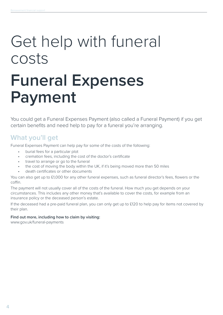# Get help with funeral costs

## **Funeral Expenses Payment**

You could get a Funeral Expenses Payment (also called a Funeral Payment) if you get certain benefits and need help to pay for a funeral you're arranging.

### **What you'll get**

Funeral Expenses Payment can help pay for some of the costs of the following:

- burial fees for a particular plot
- cremation fees, including the cost of the doctor's certificate
- travel to arrange or go to the funeral
- the cost of moving the body within the UK, if it's being moved more than 50 miles
- death certificates or other documents

You can also get up to £1,000 for any other funeral expenses, such as funeral director's fees, flowers or the coffin.

The payment will not usually cover all of the costs of the funeral. How much you get depends on your circumstances. This includes any other money that's available to cover the costs, for example from an insurance policy or the deceased person's estate.

If the deceased had a pre-paid funeral plan, you can only get up to £120 to help pay for items not covered by their plan.

#### **Find out more, including how to claim by visiting:**

www.gov.uk/funeral-payments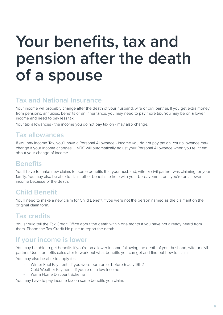## **Your benefits, tax and pension after the death of a spouse**

### **Tax and National Insurance**

Your income will probably change after the death of your husband, wife or civil partner. If you get extra money from pensions, annuities, benefits or an inheritance, you may need to pay more tax. You may be on a lower income and need to pay less tax.

Your tax allowances - the income you do not pay tax on - may also change.

### **Tax allowances**

If you pay Income Tax, you'll have a Personal Allowance - income you do not pay tax on. Your allowance may change if your income changes. HMRC will automatically adjust your Personal Allowance when you tell them about your change of income.

### **Benefits**

You'll have to make new claims for some benefits that your husband, wife or civil partner was claiming for your family. You may also be able to claim other benefits to help with your bereavement or if you're on a lower income because of the death.

### **Child Benefit**

You'll need to make a new claim for Child Benefit if you were not the person named as the claimant on the original claim form.

### **Tax credits**

You should tell the Tax Credit Office about the death within one month if you have not already heard from them. Phone the Tax Credit Helpline to report the death.

### **If your income is lower**

You may be able to get benefits if you're on a lower income following the death of your husband, wife or civil partner. Use a benefits calculator to work out what benefits you can get and find out how to claim.

You may also be able to apply for:

- Winter Fuel Payment if you were born on or before 5 July 1952
- Cold Weather Payment if you're on a low income
- Warm Home Discount Scheme

You may have to pay income tax on some benefits you claim.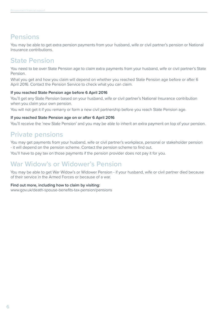### **Pensions**

You may be able to get extra pension payments from your husband, wife or civil partner's pension or National Insurance contributions.

### **State Pension**

You need to be over State Pension age to claim extra payments from your husband, wife or civil partner's State Pension.

What you get and how you claim will depend on whether you reached State Pension age before or after 6 April 2016. Contact the Pension Service to check what you can claim.

#### **If you reached State Pension age before 6 April 2016**

You'll get any State Pension based on your husband, wife or civil partner's National Insurance contribution when you claim your own pension.

You will not get it if you remarry or form a new civil partnership before you reach State Pension age.

#### **If you reached State Pension age on or after 6 April 2016**

You'll receive the 'new State Pension' and you may be able to inherit an extra payment on top of your pension.

### **Private pensions**

You may get payments from your husband, wife or civil partner's workplace, personal or stakeholder pension - it will depend on the pension scheme. Contact the pension scheme to find out.

You'll have to pay tax on those payments if the pension provider does not pay it for you.

### **War Widow's or Widower's Pension**

You may be able to get War Widow's or Widower Pension - if your husband, wife or civil partner died because of their service in the Armed Forces or because of a war.

#### **Find out more, including how to claim by visiting:**

www.gov.uk/death-spouse-benefits-tax-pension/pensions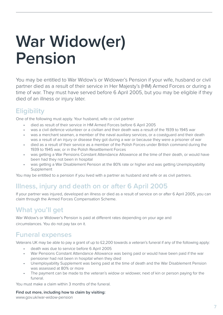## **War Widow(er) Pension**

You may be entitled to War Widow's or Widower's Pension if your wife, husband or civil partner died as a result of their service in Her Majesty's (HM) Armed Forces or during a time of war. They must have served before 6 April 2005, but you may be eligible if they died of an illness or injury later.

### **Eligibility**

One of the following must apply. Your husband, wife or civil partner

- died as result of their service in HM Armed Forces before 6 April 2005
- was a civil defence volunteer or a civilian and their death was a result of the 1939 to 1945 war
- was a merchant seaman, a member of the naval auxiliary services, or a coastguard and their death was a result of an injury or disease they got during a war or because they were a prisoner of war
- died as a result of their service as a member of the Polish Forces under British command during the 1939 to 1945 war, or in the Polish Resettlement Forces
- was getting a War Pensions Constant Attendance Allowance at the time of their death, or would have been had they not been in hospital
- was getting a War Disablement Pension at the 80% rate or higher and was getting Unemployability Supplement

You may be entitled to a pension if you lived with a partner as husband and wife or as civil partners.

### **Illness, injury and death on or after 6 April 2005**

If your partner was injured, developed an illness or died as a result of service on or after 6 April 2005, you can claim through the Armed Forces Compensation Scheme.

### **What you'll get**

War Widow's or Widower's Pension is paid at different rates depending on your age and circumstances. You do not pay tax on it.

### **Funeral expenses**

Veterans UK may be able to pay a grant of up to £2,200 towards a veteran's funeral if any of the following apply:

- death was due to service before 6 April 2005
- War Pensions Constant Attendance Allowance was being paid or would have been paid if the war pensioner had not been in hospital when they died
- Unemployability Supplement was being paid at the time of death and the War Disablement Pension was assessed at 80% or more
- The payment can be made to the veteran's widow or widower, next of kin or person paying for the funeral.

You must make a claim within 3 months of the funeral.

#### **Find out more, including how to claim by visiting:**

www.gov.uk/war-widow-pension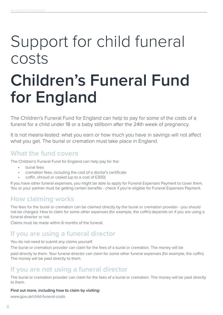## Support for child funeral costs

## **Children's Funeral Fund for England**

The Children's Funeral Fund for England can help to pay for some of the costs of a funeral for a child under 18 or a baby stillborn after the 24th week of pregnancy.

It is not means-tested: what you earn or how much you have in savings will not affect what you get. The burial or cremation must take place in England.

### **What the fund covers**

The Children's Funeral Fund for England can help pay for the:

- burial fees
- cremation fees, including the cost of a doctor's certificate
- coffin, shroud or casket (up to a cost of £300)

If you have other funeral expenses, you might be able to apply for Funeral Expenses Payment to cover them. You or your partner must be getting certain benefits - check if you're eligible for Funeral Expenses Payment.

### **How claiming works**

The fees for the burial or cremation can be claimed directly by the burial or cremation provider - you should not be charged. How to claim for some other expenses (for example, the coffin) depends on if you are using a funeral director or not.

Claims must be made within 6 months of the funeral.

### **If you are using a funeral director**

#### You do not need to submit any claims yourself.

The burial or cremation provider can claim for the fees of a burial or cremation. The money will be paid directly to them. Your funeral director can claim for some other funeral expenses (for example, the coffin). The money will be paid directly to them.

### **If you are not using a funeral director**

The burial or cremation provider can claim for the fees of a burial or cremation. The money will be paid directly to them.

#### **Find out more, including how to claim by visiting:**

www.gov.uk/child-funeral-costs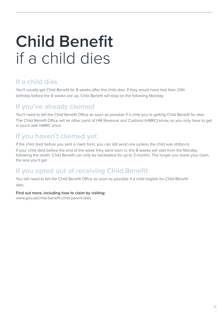## **Child Benefit** if a child dies

### **If a child dies**

You'll usually get Child Benefit for 8 weeks after the child dies. If they would have had their 20th birthday before the 8 weeks are up, Child Benefit will stop on the following Monday.

### **If you've already claimed**

You'll need to tell the Child Benefit Office as soon as possible if a child you're getting Child Benefit for dies. The Child Benefit Office will let other parts of HM Revenue and Customs (HMRC) know, so you only have to get in touch with HMRC once.

### **If you haven't claimed yet**

If the child died before you sent a claim form, you can still send one (unless the child was stillborn).

If your child died before the end of the week they were born in, the 8 weeks will start from the Monday following the death. Child Benefit can only be backdated for up to 3 months. The longer you leave your claim, the less you'll get.

### **If you opted out of receiving Child Benefit**

You still need to tell the Child Benefit Office as soon as possible if a child eligible for Child Benefit dies.

#### **Find out more, including how to claim by visiting:**

www.gov.uk/child-benefit-child-parent-dies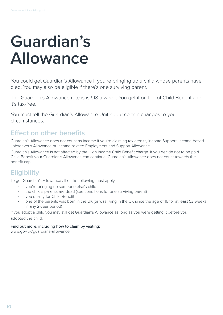## **Guardian's Allowance**

You could get Guardian's Allowance if you're bringing up a child whose parents have died. You may also be eligible if there's one surviving parent.

The Guardian's Allowance rate is is £18 a week. You get it on top of Child Benefit and it's tax-free.

You must tell the Guardian's Allowance Unit about certain changes to your circumstances.

### **Effect on other benefits**

Guardian's Allowance does not count as income if you're claiming tax credits, Income Support, income-based Jobseeker's Allowance or income-related Employment and Support Allowance.

Guardian's Allowance is not affected by the High Income Child Benefit charge. If you decide not to be paid Child Benefit your Guardian's Allowance can continue. Guardian's Allowance does not count towards the benefit cap.

### **Eligibility**

To get Guardian's Allowance all of the following must apply:

- you're bringing up someone else's child
- the child's parents are dead (see conditions for one surviving parent)
- you qualify for Child Benefit
- one of the parents was born in the UK (or was living in the UK since the age of 16 for at least 52 weeks in any 2-year period)

If you adopt a child you may still get Guardian's Allowance as long as you were getting it before you adopted the child.

#### **Find out more, including how to claim by visiting:**

www.gov.uk/guardians-allowance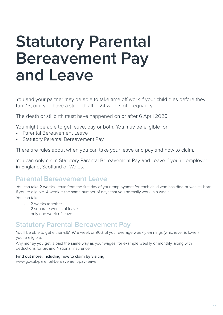## **Statutory Parental Bereavement Pay and Leave**

You and your partner may be able to take time off work if your child dies before they turn 18, or if you have a stillbirth after 24 weeks of pregnancy.

The death or stillbirth must have happened on or after 6 April 2020.

You might be able to get leave, pay or both. You may be eligible for:

- Parental Bereavement Leave
- Statutory Parental Bereavement Pay

There are rules about when you can take your leave and pay and how to claim.

You can only claim Statutory Parental Bereavement Pay and Leave if you're employed in England, Scotland or Wales.

### **Parental Bereavement Leave**

You can take 2 weeks' leave from the first day of your employment for each child who has died or was stillborn if you're eligible. A week is the same number of days that you normally work in a week You can take:

- 2 weeks together
- 2 separate weeks of leave
- only one week of leave

### **Statutory Parental Bereavement Pay**

You'll be able to get either £151.97 a week or 90% of your average weekly earnings (whichever is lower) if you're eligible.

Any money you get is paid the same way as your wages, for example weekly or monthly, along with deductions for tax and National Insurance.

#### **Find out more, including how to claim by visiting:**

www.gov.uk/parental-bereavement-pay-leave